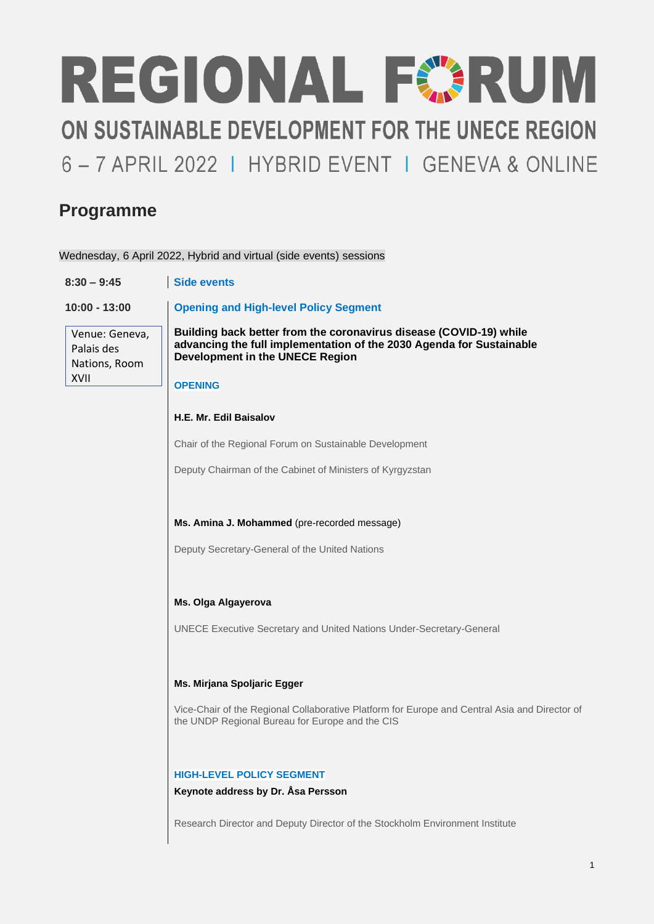# REGIONAL FORUM ON SUSTAINABLE DEVELOPMENT FOR THE UNECE REGION 6 - 7 APRIL 2022 | HYBRID EVENT | GENEVA & ONLINE

### **Programme**

Wednesday, 6 April 2022, Hybrid and virtual (side events) sessions

| $8:30 - 9:45$                                         | Side events                                                                                                                                                                                     |  |  |
|-------------------------------------------------------|-------------------------------------------------------------------------------------------------------------------------------------------------------------------------------------------------|--|--|
| $10:00 - 13:00$                                       | <b>Opening and High-level Policy Segment</b>                                                                                                                                                    |  |  |
| Venue: Geneva,<br>Palais des<br>Nations, Room<br>XVII | Building back better from the coronavirus disease (COVID-19) while<br>advancing the full implementation of the 2030 Agenda for Sustainable<br>Development in the UNECE Region<br><b>OPENING</b> |  |  |
|                                                       | H.E. Mr. Edil Baisalov                                                                                                                                                                          |  |  |
|                                                       | Chair of the Regional Forum on Sustainable Development                                                                                                                                          |  |  |
|                                                       | Deputy Chairman of the Cabinet of Ministers of Kyrgyzstan                                                                                                                                       |  |  |
|                                                       | Ms. Amina J. Mohammed (pre-recorded message)                                                                                                                                                    |  |  |
|                                                       | Deputy Secretary-General of the United Nations                                                                                                                                                  |  |  |
|                                                       | Ms. Olga Algayerova                                                                                                                                                                             |  |  |
|                                                       | UNECE Executive Secretary and United Nations Under-Secretary-General                                                                                                                            |  |  |
|                                                       | Ms. Mirjana Spoljaric Egger                                                                                                                                                                     |  |  |
|                                                       | Vice-Chair of the Regional Collaborative Platform for Europe and Central Asia and Director of<br>the UNDP Regional Bureau for Europe and the CIS                                                |  |  |
|                                                       | <b>HIGH-LEVEL POLICY SEGMENT</b><br>Keynote address by Dr. Åsa Persson                                                                                                                          |  |  |
|                                                       | Research Director and Deputy Director of the Stockholm Environment Institute                                                                                                                    |  |  |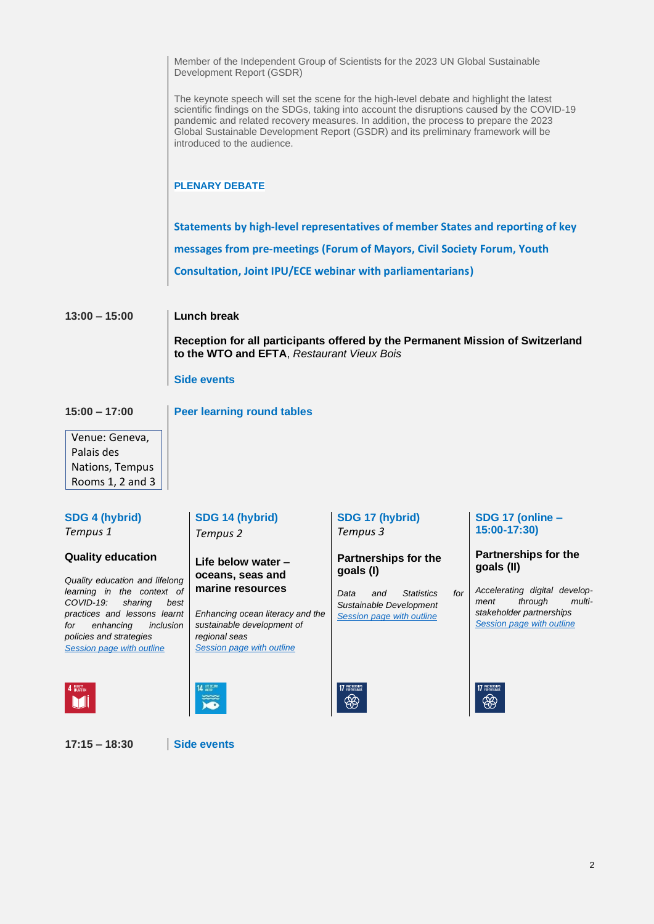|                                                                                      | Member of the Independent Group of Scientists for the 2023 UN Global Sustainable<br>Development Report (GSDR)<br>The keynote speech will set the scene for the high-level debate and highlight the latest<br>scientific findings on the SDGs, taking into account the disruptions caused by the COVID-19<br>pandemic and related recovery measures. In addition, the process to prepare the 2023<br>Global Sustainable Development Report (GSDR) and its preliminary framework will be<br>introduced to the audience. |                                                      |                                                           |  |  |
|--------------------------------------------------------------------------------------|-----------------------------------------------------------------------------------------------------------------------------------------------------------------------------------------------------------------------------------------------------------------------------------------------------------------------------------------------------------------------------------------------------------------------------------------------------------------------------------------------------------------------|------------------------------------------------------|-----------------------------------------------------------|--|--|
|                                                                                      |                                                                                                                                                                                                                                                                                                                                                                                                                                                                                                                       |                                                      |                                                           |  |  |
|                                                                                      | <b>PLENARY DEBATE</b>                                                                                                                                                                                                                                                                                                                                                                                                                                                                                                 |                                                      |                                                           |  |  |
|                                                                                      | Statements by high-level representatives of member States and reporting of key                                                                                                                                                                                                                                                                                                                                                                                                                                        |                                                      |                                                           |  |  |
|                                                                                      | messages from pre-meetings (Forum of Mayors, Civil Society Forum, Youth                                                                                                                                                                                                                                                                                                                                                                                                                                               |                                                      |                                                           |  |  |
|                                                                                      | <b>Consultation, Joint IPU/ECE webinar with parliamentarians)</b>                                                                                                                                                                                                                                                                                                                                                                                                                                                     |                                                      |                                                           |  |  |
| $13:00 - 15:00$                                                                      | <b>Lunch break</b><br>Reception for all participants offered by the Permanent Mission of Switzerland<br>to the WTO and EFTA, Restaurant Vieux Bois                                                                                                                                                                                                                                                                                                                                                                    |                                                      |                                                           |  |  |
|                                                                                      |                                                                                                                                                                                                                                                                                                                                                                                                                                                                                                                       |                                                      |                                                           |  |  |
|                                                                                      | <b>Side events</b>                                                                                                                                                                                                                                                                                                                                                                                                                                                                                                    |                                                      |                                                           |  |  |
| $15:00 - 17:00$                                                                      | <b>Peer learning round tables</b>                                                                                                                                                                                                                                                                                                                                                                                                                                                                                     |                                                      |                                                           |  |  |
| Venue: Geneva,                                                                       |                                                                                                                                                                                                                                                                                                                                                                                                                                                                                                                       |                                                      |                                                           |  |  |
| Palais des<br>Nations, Tempus                                                        |                                                                                                                                                                                                                                                                                                                                                                                                                                                                                                                       |                                                      |                                                           |  |  |
| Rooms 1, 2 and 3                                                                     |                                                                                                                                                                                                                                                                                                                                                                                                                                                                                                                       |                                                      |                                                           |  |  |
| <b>SDG 4 (hybrid)</b><br>Tempus 1                                                    | SDG 14 (hybrid)<br>Tempus <sub>2</sub>                                                                                                                                                                                                                                                                                                                                                                                                                                                                                | SDG 17 (hybrid)<br>Tempus 3                          | SDG 17 (online -<br>15:00-17:30)                          |  |  |
| <b>Quality education</b>                                                             | Life below water -<br>oceans, seas and                                                                                                                                                                                                                                                                                                                                                                                                                                                                                | <b>Partnerships for the</b><br>goals (I)             | Partnerships for the<br>goals (II)                        |  |  |
| Quality education and lifelong<br>learning in the context of<br>COVID-19:<br>sharing | marine resources<br>best                                                                                                                                                                                                                                                                                                                                                                                                                                                                                              | <b>Statistics</b><br>for<br>Data<br>and              | Accelerating digital develop-<br>through<br>multi<br>ment |  |  |
| practices and lessons learnt<br>enhancing<br>inclusion<br>for                        | Enhancing ocean literacy and the<br>sustainable development of                                                                                                                                                                                                                                                                                                                                                                                                                                                        | Sustainable Development<br>Session page with outline | stakeholder partnerships<br>Session page with outline     |  |  |
| policies and strategies<br>Session page with outline                                 | regional seas<br>Session page with outline                                                                                                                                                                                                                                                                                                                                                                                                                                                                            |                                                      |                                                           |  |  |
|                                                                                      | 14 WEBLUT                                                                                                                                                                                                                                                                                                                                                                                                                                                                                                             | 17 PARTNERSHIPS<br>❀                                 | 17 PARTNERSHIPS<br>❀                                      |  |  |
|                                                                                      |                                                                                                                                                                                                                                                                                                                                                                                                                                                                                                                       |                                                      |                                                           |  |  |

**17:15 – 18:30 Side events**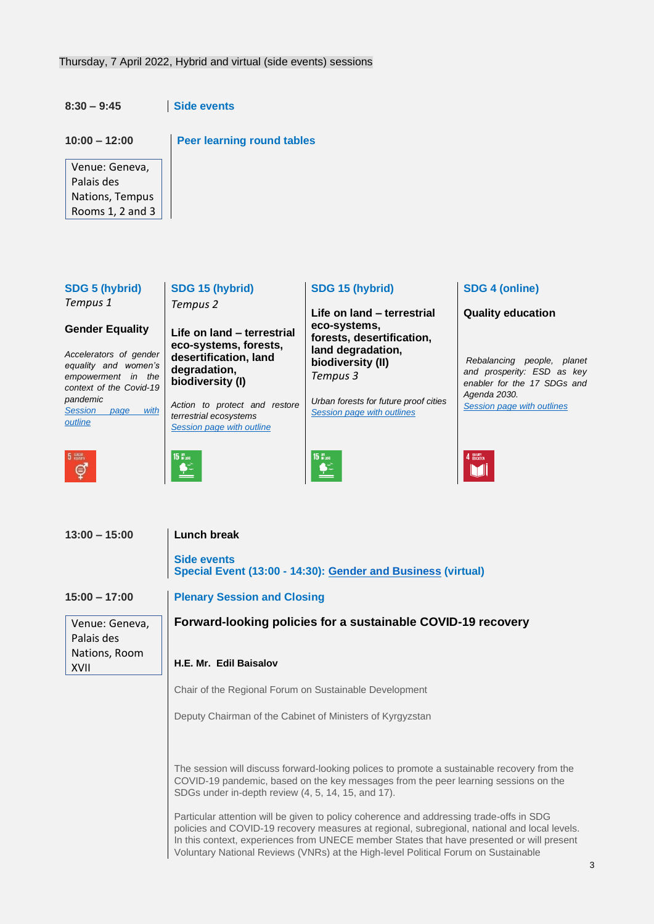Thursday, 7 April 2022, Hybrid and virtual (side events) sessions

**8:30 – 9:45 Side events**

| $10:00 - 12:00$<br>Venue: Geneva,<br>Palais des<br>Nations, Tempus<br>Rooms 1, 2 and 3                                                                                                                        | <b>Peer learning round tables</b>                                                                                                                                                                                                                                                                                                                                                                                                                                                               |                                                                                                                                                                                                                                |                                                                                                                                                                                                   |
|---------------------------------------------------------------------------------------------------------------------------------------------------------------------------------------------------------------|-------------------------------------------------------------------------------------------------------------------------------------------------------------------------------------------------------------------------------------------------------------------------------------------------------------------------------------------------------------------------------------------------------------------------------------------------------------------------------------------------|--------------------------------------------------------------------------------------------------------------------------------------------------------------------------------------------------------------------------------|---------------------------------------------------------------------------------------------------------------------------------------------------------------------------------------------------|
| <b>SDG 5 (hybrid)</b><br>Tempus 1<br><b>Gender Equality</b><br>Accelerators of gender<br>equality and women's<br>empowerment in the<br>context of the Covid-19<br>pandemic<br>Session page<br>with<br>outline | SDG 15 (hybrid)<br>Tempus <sub>2</sub><br>Life on land - terrestrial<br>eco-systems, forests,<br>desertification, land<br>degradation,<br>biodiversity (I)<br>Action to protect and restore<br>terrestrial ecosystems<br>Session page with outline                                                                                                                                                                                                                                              | SDG 15 (hybrid)<br>Life on land - terrestrial<br>eco-systems,<br>forests, desertification,<br>land degradation,<br>biodiversity (II)<br>Tempus 3<br>Urban forests for future proof cities<br><b>Session page with outlines</b> | <b>SDG 4 (online)</b><br><b>Quality education</b><br>Rebalancing people, planet<br>and prosperity: ESD as key<br>enabler for the 17 SDGs and<br>Agenda 2030.<br><b>Session page with outlines</b> |
| GENUER<br>FOLIAUTT<br>ඉ<br>$13:00 - 15:00$                                                                                                                                                                    | 15 in land<br><b>Lunch break</b><br><b>Side events</b>                                                                                                                                                                                                                                                                                                                                                                                                                                          | 15 in land<br>Special Event (13:00 - 14:30): Gender and Business (virtual)                                                                                                                                                     |                                                                                                                                                                                                   |
| $15:00 - 17:00$<br>Venue: Geneva,<br>Palais des<br>Nations, Room<br>XVII                                                                                                                                      | <b>Plenary Session and Closing</b><br>Forward-looking policies for a sustainable COVID-19 recovery<br>H.E. Mr. Edil Baisalov<br>Chair of the Regional Forum on Sustainable Development<br>Deputy Chairman of the Cabinet of Ministers of Kyrgyzstan<br>The session will discuss forward-looking polices to promote a sustainable recovery from the<br>COVID-19 pandemic, based on the key messages from the peer learning sessions on the<br>SDGs under in-depth review (4, 5, 14, 15, and 17). |                                                                                                                                                                                                                                |                                                                                                                                                                                                   |

Particular attention will be given to policy coherence and addressing trade-offs in SDG policies and COVID-19 recovery measures at regional, subregional, national and local levels. In this context, experiences from UNECE member States that have presented or will present Voluntary National Reviews (VNRs) at the High-level Political Forum on Sustainable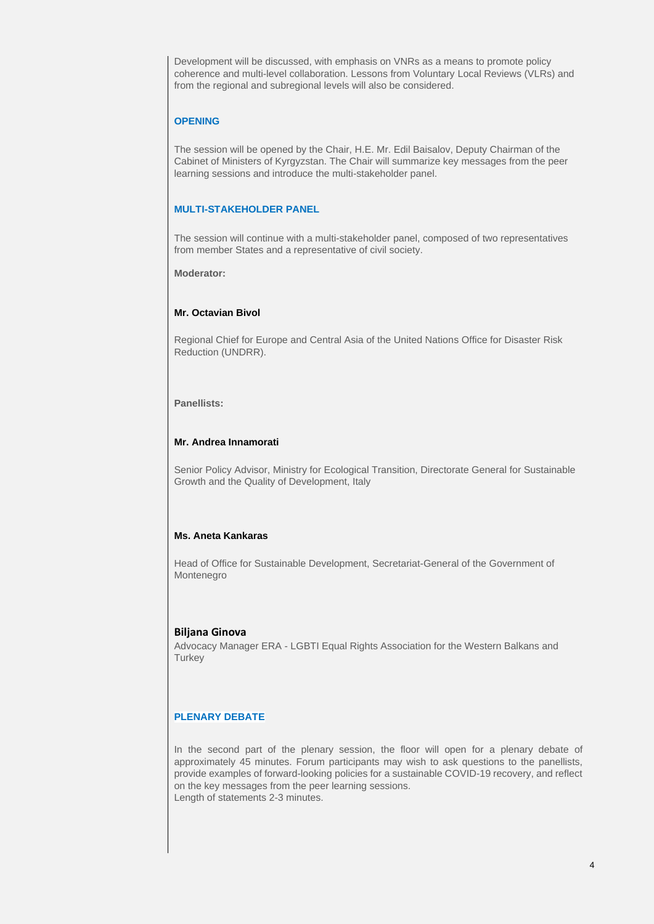Development will be discussed, with emphasis on VNRs as a means to promote policy coherence and multi-level collaboration. Lessons from Voluntary Local Reviews (VLRs) and from the regional and subregional levels will also be considered.

#### **OPENING**

The session will be opened by the Chair, H.E. Mr. Edil Baisalov, Deputy Chairman of the Cabinet of Ministers of Kyrgyzstan. The Chair will summarize key messages from the peer learning sessions and introduce the multi-stakeholder panel.

#### **MULTI-STAKEHOLDER PANEL**

The session will continue with a multi-stakeholder panel, composed of two representatives from member States and a representative of civil society.

**Moderator:**

#### **Mr. Octavian Bivol**

Regional Chief for Europe and Central Asia of the United Nations Office for Disaster Risk Reduction (UNDRR).

#### **Panellists:**

#### **Mr. Andrea Innamorati**

Senior Policy Advisor, Ministry for Ecological Transition, Directorate General for Sustainable Growth and the Quality of Development, Italy

#### **Ms. Aneta Kankaras**

Head of Office for Sustainable Development, Secretariat-General of the Government of Montenegro

#### **Biljana Ginova**

Advocacy Manager ERA - [LGBTI Equal Rights Association for the Western Balkans and](http://www.lgbti-era.org/)  **[Turkey](http://www.lgbti-era.org/)** 

#### **PLENARY DEBATE**

In the second part of the plenary session, the floor will open for a plenary debate of approximately 45 minutes. Forum participants may wish to ask questions to the panellists, provide examples of forward-looking policies for a sustainable COVID-19 recovery, and reflect on the key messages from the peer learning sessions. Length of statements 2-3 minutes.